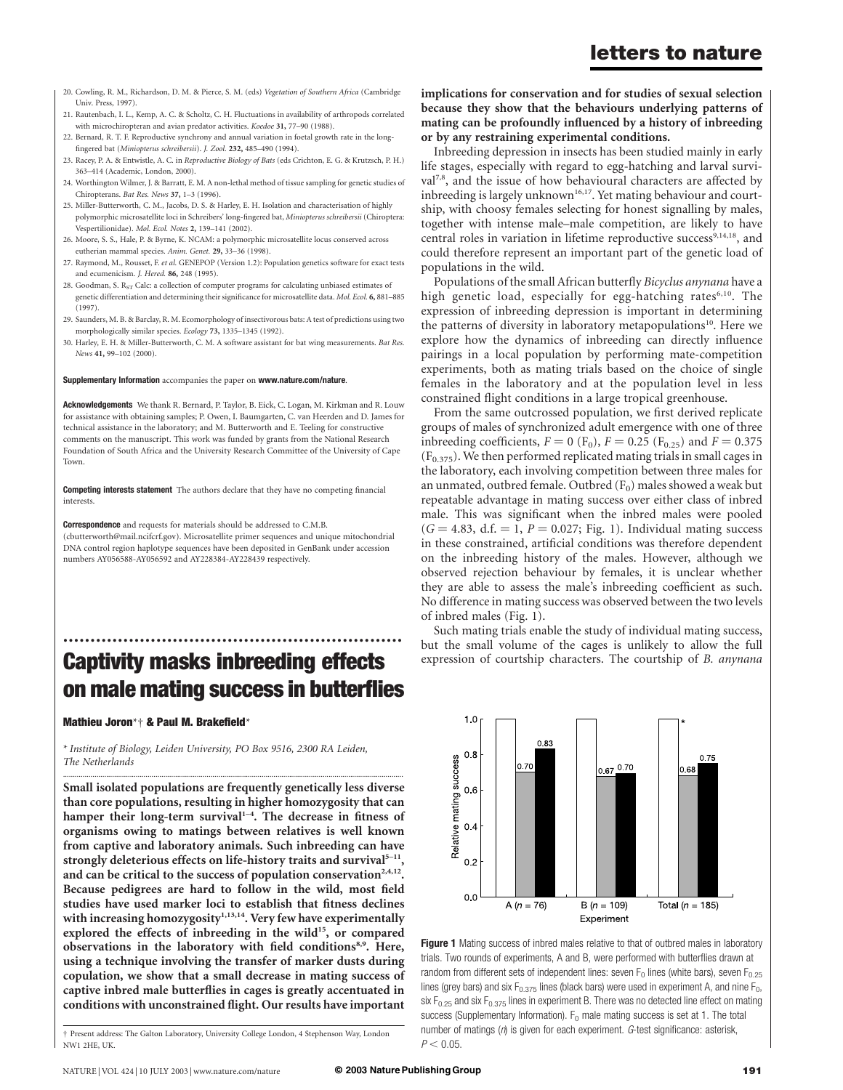- 20. Cowling, R. M., Richardson, D. M. & Pierce, S. M. (eds) Vegetation of Southern Africa (Cambridge Univ. Press, 1997).
- 21. Rautenbach, I. L., Kemp, A. C. & Scholtz, C. H. Fluctuations in availability of arthropods correlated with microchiropteran and avian predator activities. Koedoe 31, 77–90 (1988).
- 22. Bernard, R. T. F. Reproductive synchrony and annual variation in foetal growth rate in the longfingered bat (Miniopterus schreibersii). J. Zool. 232, 485–490 (1994).
- 23. Racey, P. A. & Entwistle, A. C. in Reproductive Biology of Bats (eds Crichton, E. G. & Krutzsch, P. H.) 363–414 (Academic, London, 2000).
- 24. Worthington Wilmer, J. & Barratt, E. M. A non-lethal method of tissue sampling for genetic studies of Chiropterans. Bat Res. News 37, 1–3 (1996).
- 25. Miller-Butterworth, C. M., Jacobs, D. S. & Harley, E. H. Isolation and characterisation of highly polymorphic microsatellite loci in Schreibers' long-fingered bat, Miniopterus schreibersii (Chiroptera: Vespertilionidae). Mol. Ecol. Notes 2, 139-141 (2002).
- 26. Moore, S. S., Hale, P. & Byrne, K. NCAM: a polymorphic microsatellite locus conserved across eutherian mammal species. Anim. Genet. 29, 33–36 (1998).
- 27. Raymond, M., Rousset, F. et al. GENEPOP (Version 1.2): Population genetics software for exact tests and ecumenicism. J. Hered. 86, 248 (1995).
- 28. Goodman, S. R<sub>ST</sub> Calc: a collection of computer programs for calculating unbiased estimates of genetic differentiation and determining their significance for microsatellite data. Mol. Ecol. 6, 881–885 (1997).
- 29. Saunders, M. B. & Barclay, R. M. Ecomorphology of insectivorous bats: A test of predictions using two morphologically similar species. Ecology 73, 1335–1345 (1992).
- 30. Harley, E. H. & Miller-Butterworth, C. M. A software assistant for bat wing measurements. Bat Res. News 41, 99–102 (2000).

#### Supplementary Information accompanies the paper on www.nature.com/nature.

Acknowledgements We thank R. Bernard, P. Taylor, B. Eick, C. Logan, M. Kirkman and R. Louw for assistance with obtaining samples; P. Owen, I. Baumgarten, C. van Heerden and D. James for technical assistance in the laboratory; and M. Butterworth and E. Teeling for constructive comments on the manuscript. This work was funded by grants from the National Research Foundation of South Africa and the University Research Committee of the University of Cape Town.

Competing interests statement The authors declare that they have no competing financial interests.

Correspondence and requests for materials should be addressed to C.M.B. (cbutterworth@mail.ncifcrf.gov). Microsatellite primer sequences and unique mitochondrial DNA control region haplotype sequences have been deposited in GenBank under accession numbers AY056588-AY056592 and AY228384-AY228439 respectively.

## .............................................................. Captivity masks inbreeding effects on male mating success in butterflies

.............................................................................................................................................................................

#### Mathieu Joron\*† & Paul M. Brakefield\*

\* Institute of Biology, Leiden University, PO Box 9516, 2300 RA Leiden, The Netherlands

Small isolated populations are frequently genetically less diverse than core populations, resulting in higher homozygosity that can hamper their long-term survival $1-4$ . The decrease in fitness of organisms owing to matings between relatives is well known from captive and laboratory animals. Such inbreeding can have strongly deleterious effects on life-history traits and survival $5-11$ , and can be critical to the success of population conservation<sup>2,4,12</sup>. Because pedigrees are hard to follow in the wild, most field studies have used marker loci to establish that fitness declines with increasing homozygosity<sup>1,13,14</sup>. Very few have experimentally explored the effects of inbreeding in the wild<sup>15</sup>, or compared observations in the laboratory with field conditions<sup>8,9</sup>. Here, using a technique involving the transfer of marker dusts during copulation, we show that a small decrease in mating success of captive inbred male butterflies in cages is greatly accentuated in conditions with unconstrained flight. Our results have important

† Present address: The Galton Laboratory, University College London, 4 Stephenson Way, London NW1 2HE, UK.

implications for conservation and for studies of sexual selection because they show that the behaviours underlying patterns of mating can be profoundly influenced by a history of inbreeding or by any restraining experimental conditions.

Inbreeding depression in insects has been studied mainly in early life stages, especially with regard to egg-hatching and larval survival<sup>7,8</sup>, and the issue of how behavioural characters are affected by inbreeding is largely unknown<sup>16,17</sup>. Yet mating behaviour and courtship, with choosy females selecting for honest signalling by males, together with intense male–male competition, are likely to have central roles in variation in lifetime reproductive success<sup>9,14,18</sup>, and could therefore represent an important part of the genetic load of populations in the wild.

Populations of the small African butterfly Bicyclus anynana have a high genetic load, especially for egg-hatching rates $6,10$ . The expression of inbreeding depression is important in determining the patterns of diversity in laboratory metapopulations<sup>10</sup>. Here we explore how the dynamics of inbreeding can directly influence pairings in a local population by performing mate-competition experiments, both as mating trials based on the choice of single females in the laboratory and at the population level in less constrained flight conditions in a large tropical greenhouse.

From the same outcrossed population, we first derived replicate groups of males of synchronized adult emergence with one of three inbreeding coefficients,  $F = 0$  (F<sub>0</sub>),  $F = 0.25$  (F<sub>0.25</sub>) and  $F = 0.375$  $(F_{0.375})$ . We then performed replicated mating trials in small cages in the laboratory, each involving competition between three males for an unmated, outbred female. Outbred  $(F_0)$  males showed a weak but repeatable advantage in mating success over either class of inbred male. This was significant when the inbred males were pooled  $(G = 4.83, d.f. = 1, P = 0.027; Fig. 1)$ . Individual mating success in these constrained, artificial conditions was therefore dependent on the inbreeding history of the males. However, although we observed rejection behaviour by females, it is unclear whether they are able to assess the male's inbreeding coefficient as such. No difference in mating success was observed between the two levels of inbred males (Fig. 1).

Such mating trials enable the study of individual mating success, but the small volume of the cages is unlikely to allow the full expression of courtship characters. The courtship of B. anynana



Figure 1 Mating success of inbred males relative to that of outbred males in laboratory trials. Two rounds of experiments, A and B, were performed with butterflies drawn at random from different sets of independent lines: seven  $F_0$  lines (white bars), seven  $F_{0.25}$ lines (grey bars) and six  $F_{0.375}$  lines (black bars) were used in experiment A, and nine  $F_0$ , six  $F_{0.25}$  and six  $F_{0.375}$  lines in experiment B. There was no detected line effect on mating success (Supplementary Information).  $F_0$  male mating success is set at 1. The total number of matings  $(n)$  is given for each experiment.  $G$ -test significance: asterisk,  $P < 0.05$ .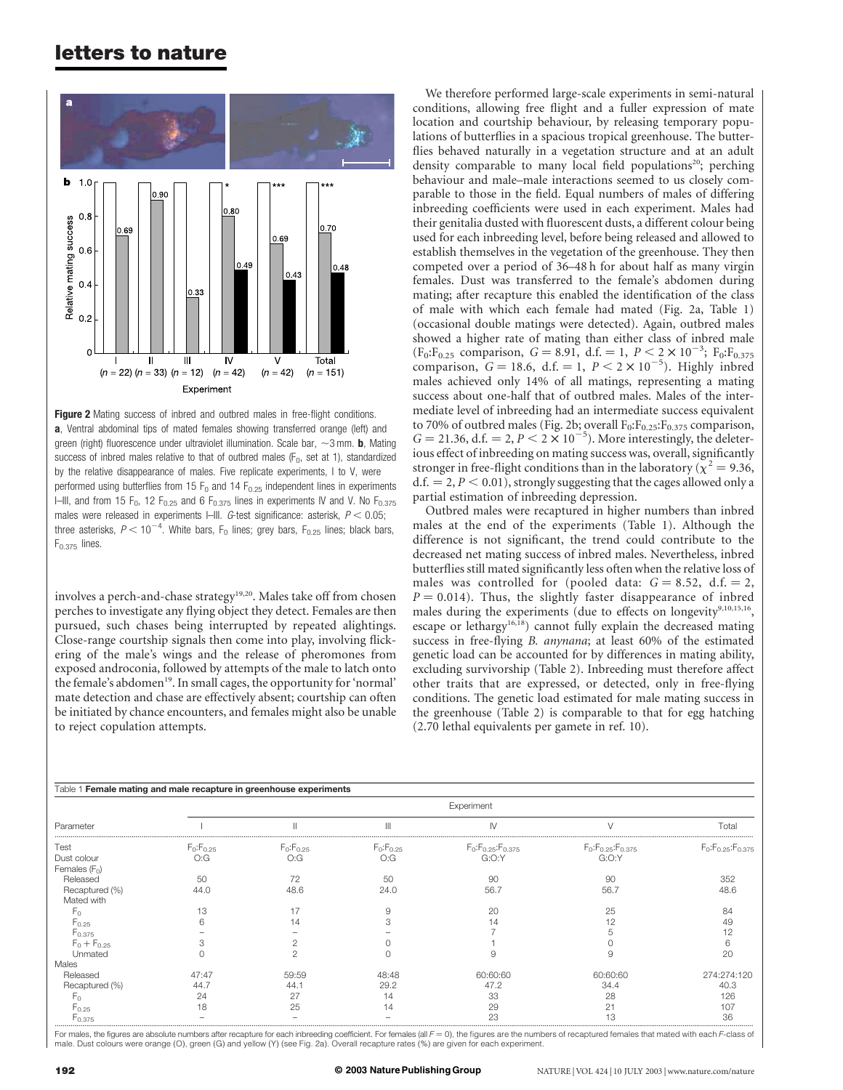### letters to nature



Figure 2 Mating success of inbred and outbred males in free-flight conditions. a, Ventral abdominal tips of mated females showing transferred orange (left) and green (right) fluorescence under ultraviolet illumination. Scale bar,  $\sim$ 3 mm. **b**, Mating success of inbred males relative to that of outbred males ( $F_0$ , set at 1), standardized by the relative disappearance of males. Five replicate experiments, I to V, were performed using butterflies from 15  $F_0$  and 14  $F_{0.25}$  independent lines in experiments I–III, and from 15  $F_0$ , 12  $F_{0.25}$  and 6  $F_{0.375}$  lines in experiments IV and V. No  $F_{0.375}$ males were released in experiments I–III. G-test significance: asterisk,  $P < 0.05$ ; three asterisks,  $P < 10^{-4}$ . White bars, F<sub>0</sub> lines; grey bars, F<sub>0.25</sub> lines; black bars,  $F_{0.375}$  lines.

involves a perch-and-chase strategy<sup>19,20</sup>. Males take off from chosen perches to investigate any flying object they detect. Females are then pursued, such chases being interrupted by repeated alightings. Close-range courtship signals then come into play, involving flickering of the male's wings and the release of pheromones from exposed androconia, followed by attempts of the male to latch onto the female's abdomen<sup>19</sup>. In small cages, the opportunity for 'normal' mate detection and chase are effectively absent; courtship can often be initiated by chance encounters, and females might also be unable to reject copulation attempts.

We therefore performed large-scale experiments in semi-natural conditions, allowing free flight and a fuller expression of mate location and courtship behaviour, by releasing temporary populations of butterflies in a spacious tropical greenhouse. The butterflies behaved naturally in a vegetation structure and at an adult density comparable to many local field populations<sup>20</sup>; perching behaviour and male–male interactions seemed to us closely comparable to those in the field. Equal numbers of males of differing inbreeding coefficients were used in each experiment. Males had their genitalia dusted with fluorescent dusts, a different colour being used for each inbreeding level, before being released and allowed to establish themselves in the vegetation of the greenhouse. They then competed over a period of 36–48 h for about half as many virgin females. Dust was transferred to the female's abdomen during mating; after recapture this enabled the identification of the class of male with which each female had mated (Fig. 2a, Table 1) (occasional double matings were detected). Again, outbred males showed a higher rate of mating than either class of inbred male  $(F_0: F_{0.25}$  comparison,  $G = 8.91$ , d.f.  $= 1$ ,  $P < 2 \times 10^{-3}$ ;  $F_0: F_{0.375}$ comparison,  $G = 18.6$ , d.f. = 1,  $P < 2 \times 10^{-5}$ ). Highly inbred males achieved only 14% of all matings, representing a mating success about one-half that of outbred males. Males of the intermediate level of inbreeding had an intermediate success equivalent to 70% of outbred males (Fig. 2b; overall  $F_0: F_{0.25}: F_{0.375}$  comparison,  $G = 21.36$ , d.f. = 2,  $P < 2 \times 10^{-5}$ ). More interestingly, the deleterious effect of inbreeding on mating success was, overall, significantly stronger in free-flight conditions than in the laboratory ( $\chi^2$  = 9.36,  $d.f. = 2, P < 0.01$ , strongly suggesting that the cages allowed only a partial estimation of inbreeding depression.

Outbred males were recaptured in higher numbers than inbred males at the end of the experiments (Table 1). Although the difference is not significant, the trend could contribute to the decreased net mating success of inbred males. Nevertheless, inbred butterflies still mated significantly less often when the relative loss of males was controlled for (pooled data:  $G = 8.52$ , d.f.  $= 2$ ,  $P = 0.014$ ). Thus, the slightly faster disappearance of inbred males during the experiments (due to effects on longevity<sup>9,10,15,16</sup>, escape or lethargy<sup>16,18</sup>) cannot fully explain the decreased mating success in free-flying B. anynana; at least 60% of the estimated genetic load can be accounted for by differences in mating ability, excluding survivorship (Table 2). Inbreeding must therefore affect other traits that are expressed, or detected, only in free-flying conditions. The genetic load estimated for male mating success in the greenhouse (Table 2) is comparable to that for egg hatching (2.70 lethal equivalents per gamete in ref. 10).

| Table 1 Female mating and male recapture in greenhouse experiments |                 |                 |                 |                            |                            |                            |  |  |
|--------------------------------------------------------------------|-----------------|-----------------|-----------------|----------------------------|----------------------------|----------------------------|--|--|
| Parameter                                                          | Experiment      |                 |                 |                            |                            |                            |  |  |
|                                                                    |                 |                 |                 |                            |                            | Total                      |  |  |
| Test                                                               | $F_0: F_{0.25}$ | $F_0: F_{0.25}$ | $F_0: F_{0.25}$ | $F_0: F_{0.25}: F_{0.375}$ | $F_0: F_{0.25}: F_{0.375}$ | $F_0: F_{0.25}: F_{0.375}$ |  |  |
| Dust colour                                                        | O:G             | O:G             | O:G             | G:O:Y                      | G:O:Y                      |                            |  |  |
| Females (Fo)                                                       |                 |                 |                 |                            |                            |                            |  |  |
| Released                                                           | 50              | 72              | 50              | 90                         | 90                         | 352                        |  |  |
| Recaptured (%)<br>Mated with                                       | 44.0            | 48.6            | 24.0            | 56.7                       | 56.7                       | 48.6                       |  |  |
|                                                                    |                 |                 |                 |                            |                            |                            |  |  |
| $F_{0}$                                                            | 13              |                 |                 | 20                         | 25                         | 84                         |  |  |
| F <sub>0.25</sub>                                                  |                 |                 |                 | 14                         | 12                         |                            |  |  |
| $F_{0.375}$                                                        |                 |                 |                 |                            |                            |                            |  |  |
| $F_0 + F_{0.25}$                                                   |                 |                 |                 |                            |                            |                            |  |  |
| Unmated                                                            |                 |                 |                 |                            | Ċ                          | 20                         |  |  |
| Males                                                              |                 |                 |                 |                            |                            |                            |  |  |
| Released                                                           | 47:47           | 59:59           | 48:48           | 60:60:60                   | 60:60:60                   | 274:274:120                |  |  |
| Recaptured (%)                                                     | 44.7            | 44.7            | 29.2            | 47.2                       | 34.4                       | 40.3                       |  |  |
| $F_{0}$                                                            | 24              | 27              | 14              | 33                         | 28                         | 126                        |  |  |
| $F_{0.25}$                                                         | 18              | 25              | 1 Л             | 29                         | 21                         | 107                        |  |  |
| <b>F</b> 0.375                                                     |                 |                 |                 | 23                         |                            | 36                         |  |  |

For males, the figures are absolute numbers after recapture for each inbreeding coefficient. For females (all F = 0), the figures are the numbers of recaptured females that mated with each F-class of<br>male. Dust colours wer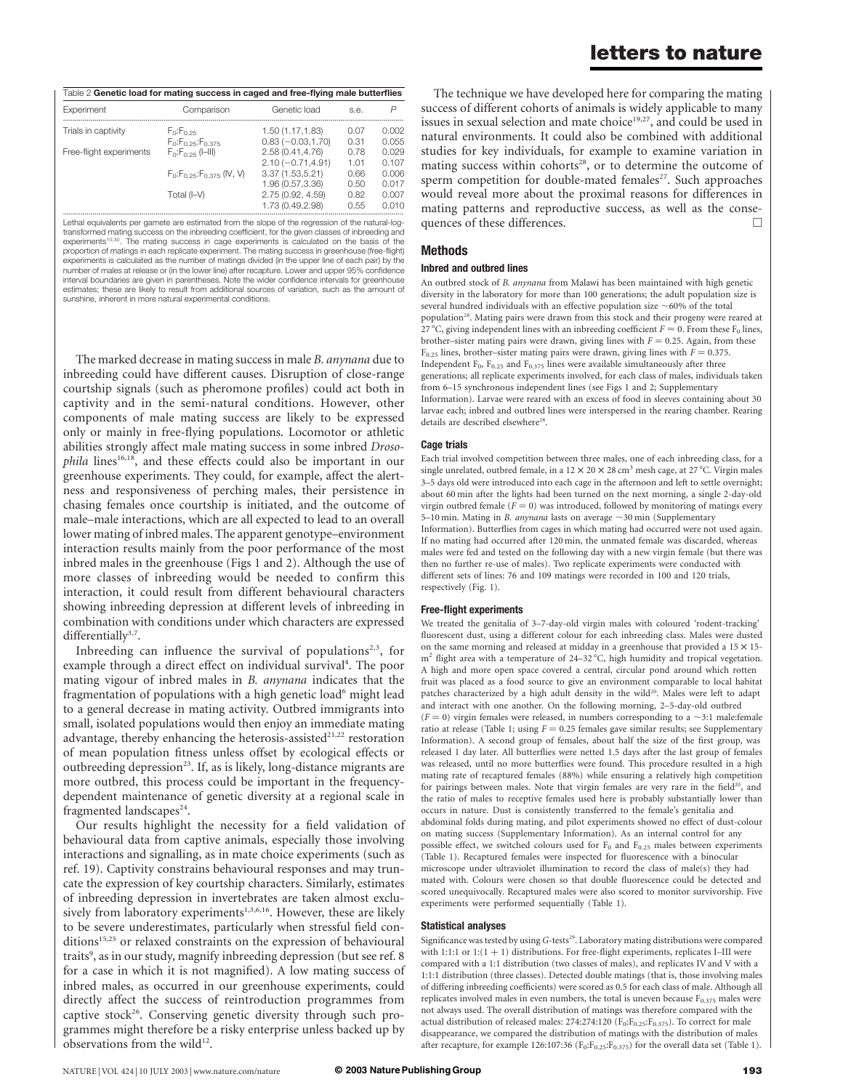| Table 2 Genetic load for mating success in caged and free-flying male butterflies |                                                                 |                                           |              |                |  |  |  |  |
|-----------------------------------------------------------------------------------|-----------------------------------------------------------------|-------------------------------------------|--------------|----------------|--|--|--|--|
| Experiment                                                                        | Comparison                                                      | Genetic load                              | S.e.         | P              |  |  |  |  |
| Trials in captivity                                                               | $F_0: F_0 \rightarrow 5$                                        | 1.50 (1.17, 1.83)                         | 0.07         | 0.002          |  |  |  |  |
| Free-flight experiments                                                           | $F_0$ : $F_0$ 25: $F_0$ 375<br>$F_0: F_0 \rightarrow g ([-  )]$ | $0.83 (-0.03, 1.70)$<br>2.58 (0.41, 4.76) | 0.31<br>0.78 | 0.055<br>0.029 |  |  |  |  |
|                                                                                   | $F_0: F_0.25: F_0.375$ (IV, V)                                  | $2.10(-0.71, 4.91)$<br>3.37(1.53, 5.21)   | 101<br>0.66  | 0.107<br>0.006 |  |  |  |  |
|                                                                                   |                                                                 | 1.96 (0.57, 3.36)                         | 0.50         | 0.017          |  |  |  |  |
|                                                                                   | Total (I-V)                                                     | 2.75 (0.92, 4.59)<br>1.73 (0.49,2.98)     | 0.82<br>0.55 | 0.007<br>0.010 |  |  |  |  |

Lethal equivalents per gamete are estimated from the slope of the regression of the natural-logtransformed mating success on the inbreeding coefficient, for the given classes of inbreeding and experiments<sup>10,30</sup>. The mating success in cage experiments is calculated on the basis of the<br>proportion of matings in each replicate experiment. The mating success in greenhouse (free-flight) experiments is calculated as the number of matings divided (in the upper line of each pair) by the number of males at release or (in the lower line) after recapture. Lower and upper 95% confidence interval boundaries are given in parentheses. Note the wider confidence intervals for greenhouse estimates; these are likely to result from additional sources of variation, such as the amount of sunshine, inherent in more natural experimental conditions.

The marked decrease in mating success in male B. anynana due to inbreeding could have different causes. Disruption of close-range courtship signals (such as pheromone profiles) could act both in captivity and in the semi-natural conditions. However, other components of male mating success are likely to be expressed only or mainly in free-flying populations. Locomotor or athletic abilities strongly affect male mating success in some inbred Drosophila lines<sup>16,18</sup>, and these effects could also be important in our greenhouse experiments. They could, for example, affect the alertness and responsiveness of perching males, their persistence in chasing females once courtship is initiated, and the outcome of male–male interactions, which are all expected to lead to an overall lower mating of inbred males. The apparent genotype–environment interaction results mainly from the poor performance of the most inbred males in the greenhouse (Figs 1 and 2). Although the use of more classes of inbreeding would be needed to confirm this interaction, it could result from different behavioural characters showing inbreeding depression at different levels of inbreeding in combination with conditions under which characters are expressed differentially<sup>3,7</sup>.

Inbreeding can influence the survival of populations<sup>2,3</sup>, for example through a direct effect on individual survival<sup>4</sup>. The poor mating vigour of inbred males in B. anynana indicates that the fragmentation of populations with a high genetic load<sup>6</sup> might lead to a general decrease in mating activity. Outbred immigrants into small, isolated populations would then enjoy an immediate mating advantage, thereby enhancing the heterosis-assisted<sup>21,22</sup> restoration of mean population fitness unless offset by ecological effects or outbreeding depression<sup>23</sup>. If, as is likely, long-distance migrants are more outbred, this process could be important in the frequencydependent maintenance of genetic diversity at a regional scale in fragmented landscapes<sup>24</sup>.

Our results highlight the necessity for a field validation of behavioural data from captive animals, especially those involving interactions and signalling, as in mate choice experiments (such as ref. 19). Captivity constrains behavioural responses and may truncate the expression of key courtship characters. Similarly, estimates of inbreeding depression in invertebrates are taken almost exclusively from laboratory experiments<sup>1,3,6,16</sup>. However, these are likely to be severe underestimates, particularly when stressful field conditions<sup>15,25</sup> or relaxed constraints on the expression of behavioural traits<sup>9</sup>, as in our study, magnify inbreeding depression (but see ref. 8 for a case in which it is not magnified). A low mating success of inbred males, as occurred in our greenhouse experiments, could directly affect the success of reintroduction programmes from captive stock<sup>26</sup>. Conserving genetic diversity through such programmes might therefore be a risky enterprise unless backed up by observations from the wild $12$ .

The technique we have developed here for comparing the mating success of different cohorts of animals is widely applicable to many issues in sexual selection and mate choice<sup>19,27</sup>, and could be used in natural environments. It could also be combined with additional studies for key individuals, for example to examine variation in mating success within cohorts<sup>28</sup>, or to determine the outcome of sperm competition for double-mated females<sup>27</sup>. Such approaches would reveal more about the proximal reasons for differences in mating patterns and reproductive success, as well as the consequences of these differences.  $\Box$ 

### Methods

#### Inbred and outbred lines

An outbred stock of B. anynana from Malawi has been maintained with high genetic diversity in the laboratory for more than 100 generations; the adult population size is several hundred individuals with an effective population size  $\sim$  60% of the total population<sup>28</sup>. Mating pairs were drawn from this stock and their progeny were reared at 27 °C, giving independent lines with an inbreeding coefficient  $F \approx 0$ . From these F<sub>0</sub> lines, brother–sister mating pairs were drawn, giving lines with  $F = 0.25$ . Again, from these  $F_{0.25}$  lines, brother–sister mating pairs were drawn, giving lines with  $F = 0.375$ . Independent  $F_0$ ,  $F_0$ <sub>25</sub> and  $F_0$ <sub>375</sub> lines were available simultaneously after three generations; all replicate experiments involved, for each class of males, individuals taken from 6–15 synchronous independent lines (see Figs 1 and 2; Supplementary Information). Larvae were reared with an excess of food in sleeves containing about 30 larvae each; inbred and outbred lines were interspersed in the rearing chamber. Rearing details are described elsewhere<sup>28</sup>.

#### Cage trials

Each trial involved competition between three males, one of each inbreeding class, for a single unrelated, outbred female, in a  $12 \times 20 \times 28$  cm<sup>3</sup> mesh cage, at  $27^{\circ}$ C. Virgin males 3–5 days old were introduced into each cage in the afternoon and left to settle overnight; about 60 min after the lights had been turned on the next morning, a single 2-day-old virgin outbred female ( $F = 0$ ) was introduced, followed by monitoring of matings every 5–10 min. Mating in *B. anynana* lasts on average  $\sim$ 30 min (Supplementary Information). Butterflies from cages in which mating had occurred were not used again. If no mating had occurred after 120 min, the unmated female was discarded, whereas males were fed and tested on the following day with a new virgin female (but there was then no further re-use of males). Two replicate experiments were conducted with different sets of lines: 76 and 109 matings were recorded in 100 and 120 trials, respectively (Fig. 1).

#### Free-flight experiments

We treated the genitalia of 3–7-day-old virgin males with coloured 'rodent-tracking' fluorescent dust, using a different colour for each inbreeding class. Males were dusted on the same morning and released at midday in a greenhouse that provided a  $15 \times 15$  $m<sup>2</sup>$  flight area with a temperature of 24–32 °C, high humidity and tropical vegetation. A high and more open space covered a central, circular pond around which rotten fruit was placed as a food source to give an environment comparable to local habitat patches characterized by a high adult density in the wild<sup>20</sup>. Males were left to adapt and interact with one another. On the following morning, 2–5-day-old outbred  $(F = 0)$  virgin females were released, in numbers corresponding to a  $\sim$ 3:1 male:female ratio at release (Table 1; using  $F = 0.25$  females gave similar results; see Supplementary Information). A second group of females, about half the size of the first group, was released 1 day later. All butterflies were netted 1.5 days after the last group of females was released, until no more butterflies were found. This procedure resulted in a high mating rate of recaptured females (88%) while ensuring a relatively high competition for pairings between males. Note that virgin females are very rare in the field<sup>20</sup>, and the ratio of males to receptive females used here is probably substantially lower than occurs in nature. Dust is consistently transferred to the female's genitalia and abdominal folds during mating, and pilot experiments showed no effect of dust-colour on mating success (Supplementary Information). As an internal control for any possible effect, we switched colours used for  $F_0$  and  $F_{0.25}$  males between experiments (Table 1). Recaptured females were inspected for fluorescence with a binocular

microscope under ultraviolet illumination to record the class of male(s) they had mated with. Colours were chosen so that double fluorescence could be detected and scored unequivocally. Recaptured males were also scored to monitor survivorship. Five experiments were performed sequentially (Table 1).

#### Statistical analyses

Significance was tested by using G-tests<sup>29</sup>. Laboratory mating distributions were compared with 1:1:1 or  $1:(1 + 1)$  distributions. For free-flight experiments, replicates I–III were compared with a 1:1 distribution (two classes of males), and replicates IV and V with a 1:1:1 distribution (three classes). Detected double matings (that is, those involving males of differing inbreeding coefficients) were scored as 0.5 for each class of male. Although all replicates involved males in even numbers, the total is uneven because  $F_{0.375}$  males were not always used. The overall distribution of matings was therefore compared with the actual distribution of released males: 274:274:120  $(F_0: F_{0.25}: F_{0.375})$ . To correct for male disappearance, we compared the distribution of matings with the distribution of males after recapture, for example 126:107:36 ( $F_0:F_{0.25}:F_{0.375}$ ) for the overall data set (Table 1).